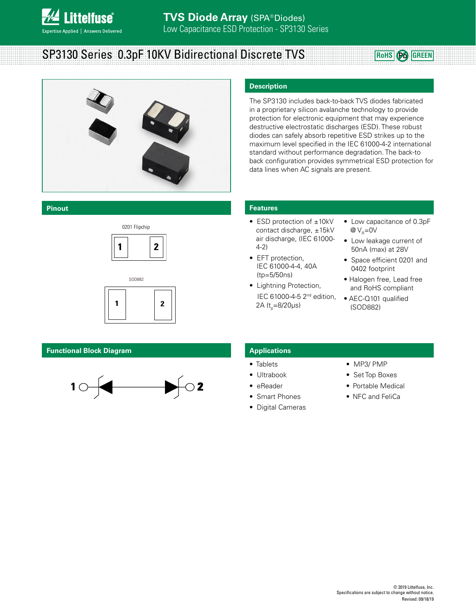

# SP3130 Series 0.3pF 10KV Bidirectional Discrete TVS **ROBB AND ADDETER Pb** GREEN



#### **Pinout**





#### **Functional Block Diagram**



#### **Description**

The SP3130 includes back-to-back TVS diodes fabricated in a proprietary silicon avalanche technology to provide protection for electronic equipment that may experience destructive electrostatic discharges (ESD). These robust diodes can safely absorb repetitive ESD strikes up to the maximum level specified in the IEC 61000-4-2 international standard without performance degradation. The back-to back configuration provides symmetrical ESD protection for data lines when AC signals are present.

#### **Features**

- ESD protection of ±10kV contact discharge, ±15kV air discharge, (IEC 61000- 4-2)
- EFT protection, IEC 61000-4-4, 40A (tp=5/50ns)
- Lightning Protection, IEC 61000-4-5 2nd edition, 2A (t<sub>p</sub>=8/20µs)
- Low capacitance of 0.3pF  $@V_{R}=0V$
- Low leakage current of 50nA (max) at 28V
- Space efficient 0201 and 0402 footprint
- Halogen free, Lead free and RoHS compliant
- AEC-Q101 qualified (SOD882)

#### **Applications**

- Tablets
- Ultrabook
- eReader
- Smart Phones
- Digital Cameras
- MP3/ PMP
- Set Top Boxes
- Portable Medical
- NFC and FeliCa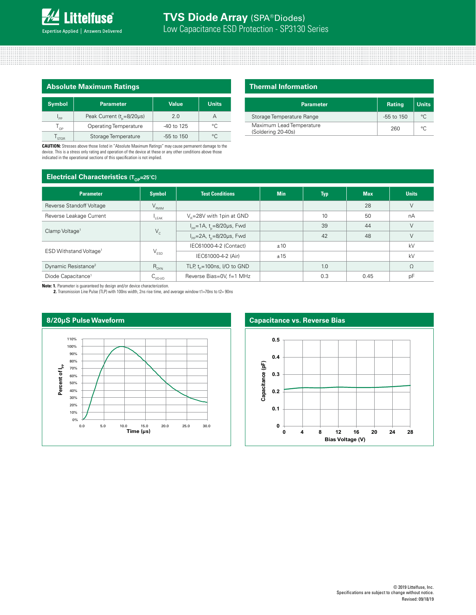

| <b>Absolute Maximum Ratings</b> |                                     |                |              |  |
|---------------------------------|-------------------------------------|----------------|--------------|--|
| <b>Symbol</b>                   | Parameter                           | <b>Value</b>   | <b>Units</b> |  |
| $\mathsf{I}_{\mathsf{PP}}$      | Peak Current $(t_{0} = 8/20 \mu s)$ | 2 Q            | А            |  |
| $T_{\alpha P}$                  | <b>Operating Temperature</b>        | -40 to 125     | $^{\circ}$ C |  |
| STOR                            | Storage Temperature                 | $-55$ to $150$ | $^{\circ}$   |  |

**CAUTION:** Stresses above those listed in "Absolute Maximum Ratings" may cause permanent damage to the device. This is a stress only rating and operation of the device at these or any other conditions above those indicated in the operational sections of this specification is not implied.

## **Electrical Characteristics (TOP=25**<sup>º</sup>**C)**

| <b>Thermal Information</b> |
|----------------------------|
|                            |
|                            |

| <b>Parameter</b>                               | Rating         | <b>Units</b> |
|------------------------------------------------|----------------|--------------|
| Storage Temperature Range                      | $-55$ to $150$ | $\circ$      |
| Maximum Lead Temperature<br>(Soldering 20-40s) | 260            | $\circ$      |

| <b>EIECINICAL UNATACLENSIICS</b> $(L_{\text{op}}=25^{\circ}C)$ |               |                                                    |            |            |            |              |  |
|----------------------------------------------------------------|---------------|----------------------------------------------------|------------|------------|------------|--------------|--|
| <b>Parameter</b>                                               | <b>Symbol</b> | <b>Test Conditions</b>                             | <b>Min</b> | <b>Typ</b> | <b>Max</b> | <b>Units</b> |  |
| Reverse Standoff Voltage                                       | $V_{RWM}$     |                                                    |            |            | 28         | V            |  |
| Reverse Leakage Current                                        | LEAK          | $V_e = 28V$ with 1 pin at GND                      |            | 10         | 50         | nA           |  |
| Clamp Voltage <sup>1</sup>                                     | $V_c$         | $I_{\text{pp}} = 1$ A, t <sub>n</sub> =8/20µs, Fwd |            | 39         | 44         | $\vee$       |  |
|                                                                |               | $I_{pp} = 2A$ , t <sub>n</sub> =8/20µs, Fwd        |            | 42         | 48         | $\vee$       |  |
| ESD Withstand Voltage <sup>1</sup>                             | $V_{ESD}$     | IEC61000-4-2 (Contact)                             | ±10        |            |            | kV           |  |
|                                                                |               | IEC61000-4-2 (Air)                                 | ±15        |            |            | kV           |  |
| Dynamic Resistance <sup>2</sup>                                | $R_{DYN}$     | TLP, $t_0 = 100$ ns, I/O to GND                    |            | 1.0        |            | $\Omega$     |  |
| Diode Capacitance <sup>1</sup>                                 | $C_{VQ-VQ}$   | Reverse Bias=0V, f=1 MHz                           |            | 0.3        | 0.45       | pF           |  |

**Note: 1.** Parameter is guaranteed by design and/or device characterization. **2.** Transmission Line Pulse (TLP) with 100ns width, 2ns rise time, and average window t1=70ns to t2= 90ns



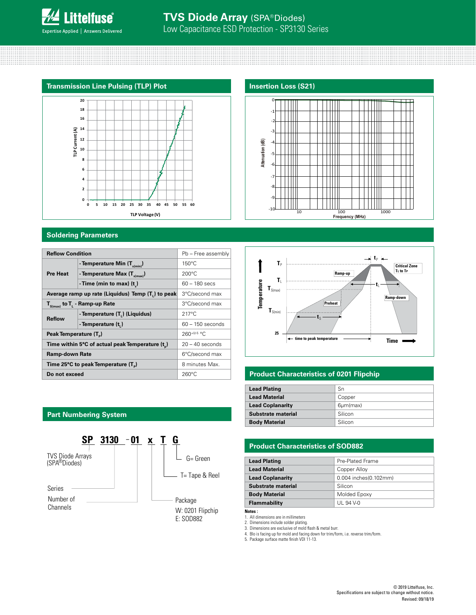



#### **Soldering Parameters**

| <b>Reflow Condition</b>                         |                                                   | Pb - Free assembly |
|-------------------------------------------------|---------------------------------------------------|--------------------|
|                                                 | - Temperature Min (T <sub>s(min)</sub> )          | $150^{\circ}$ C    |
| <b>Pre Heat</b>                                 | - Temperature Max $(T_{s(max)})$                  | $200^{\circ}$ C    |
|                                                 | - Time (min to max) $(t_2)$                       | $60 - 180$ secs    |
|                                                 | Average ramp up rate (Liquidus) Temp (T,) to peak | 3°C/second max     |
| $T_{\rm s(max)}$ to $T_{\rm L}$ - Ramp-up Rate  |                                                   | 3°C/second max     |
|                                                 | - Temperature (T.) (Liquidus)                     | $217^{\circ}$ C    |
| <b>Reflow</b>                                   | - Temperature (t)                                 | $60 - 150$ seconds |
| Peak Temperature (T <sub>n</sub> )              |                                                   | $260^{+0/5}$ °C    |
|                                                 | Time within 5°C of actual peak Temperature (t)    | $20 - 40$ seconds  |
| <b>Ramp-down Rate</b>                           |                                                   | 6°C/second max     |
| Time 25°C to peak Temperature (T <sub>a</sub> ) |                                                   | 8 minutes Max.     |
| Do not exceed                                   |                                                   | $260^{\circ}$ C    |





#### **Product Characteristics of 0201 Flipchip**

| <b>Lead Plating</b>     | Sn              |
|-------------------------|-----------------|
| <b>Lead Material</b>    | Copper          |
| <b>Lead Coplanarity</b> | $6 \mu m$ (max) |
| Substrate material      | Silicon         |
| <b>Body Material</b>    | Silicon         |

#### **Product Characteristics of SOD882**

| <b>Lead Plating</b>     | Pre-Plated Frame      |
|-------------------------|-----------------------|
| <b>Lead Material</b>    | Copper Alloy          |
| <b>Lead Coplanarity</b> | 0.004 inches(0.102mm) |
| Substrate material      | Silicon               |
| <b>Body Material</b>    | Molded Epoxy          |
| <b>Flammability</b>     | UL 94 V-0             |

**Notes :** 

1. All dimensions are in millimeters 2. Dimensions include solder plating.

3. Dimensions are exclusive of mold flash & metal burr.

4. Blo is facing up for mold and facing down for trim/form, i.e. reverse trim/form. 5. Package surface matte finish VDI 11-13.

### **Part Numbering System**

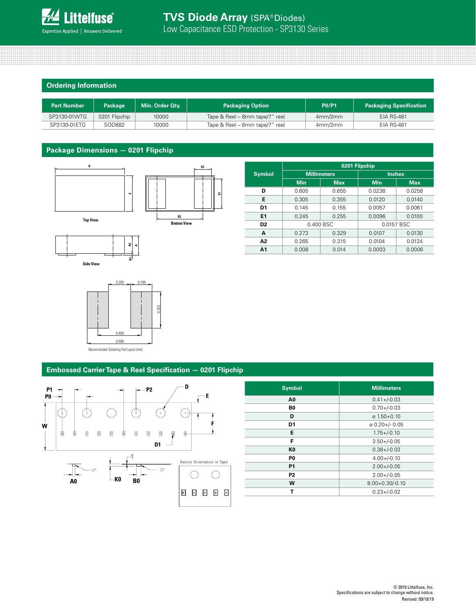

#### **Ordering Information**

| <b>Part Number</b> | <b>Package</b> | Min. Order Qty. | <b>Packaging Option</b>        | <b>PO/P1</b> | <b>Packaging Specification</b> |
|--------------------|----------------|-----------------|--------------------------------|--------------|--------------------------------|
| SP3130-01WTG       | 0201 Flipchip  | 10000           | Tape & Reel – 8mm tape/7" reel | 4mm/2mm      | <b>EIA RS-481</b>              |
| SP3130-01ETG       | SOD882         | 10000           | Tape & Reel - 8mm tape/7" reel | 4mm/2mm      | <b>EIA RS-481</b>              |

#### **Package Dimensions — 0201 Flipchip**







|                |                    | 0201 Flipchip |               |            |  |
|----------------|--------------------|---------------|---------------|------------|--|
| <b>Symbol</b>  | <b>Millimeters</b> |               | <b>Inches</b> |            |  |
|                | <b>Min</b>         | Max.          | <b>Min</b>    | <b>Max</b> |  |
| D              | 0.605              | 0.655         | 0.0238        | 0.0258     |  |
| E              | 0.305              | 0.355         | 0.0120        | 0.0140     |  |
| D1             | 0.145              | 0.155         | 0.0057        | 0.0061     |  |
| E1             | 0.245              | 0.255         | 0.0096        | 0.0100     |  |
| D <sub>2</sub> | 0.400 BSC          |               | 0.0157 BSC    |            |  |
| A              | 0.273              | 0.329         | 0.0107        | 0.0130     |  |
| A2             | 0.265              | 0.315         | 0.0104        | 0.0124     |  |
| A <sub>1</sub> | 0.008              | 0.014         | 0.0003        | 0.0006     |  |
|                |                    |               |               |            |  |

#### **Embossed Carrier Tape & Reel Specification — 0201 Flipchip**



| <b>Symbol</b>  | <b>Millimeters</b>        |
|----------------|---------------------------|
| A <sub>0</sub> | $0.41 + (-0.03)$          |
| B <sub>0</sub> | $0.70 + (-0.03)$          |
| D              | $\varnothing$ 1.50+0.10   |
| D1             | $\varnothing$ 0.20+/-0.05 |
| E              | $1.75 + (-0.10)$          |
| F              | $3.50 + (-0.05)$          |
| K <sub>0</sub> | $0.38 + / -0.03$          |
| P <sub>0</sub> | $4.00 + (-0.10)$          |
| <b>P1</b>      | $2.00 + (-0.05)$          |
| P <sub>2</sub> | $2.00+/-0.05$             |
| W              | $8.00 + 0.30 / -0.10$     |
| т              | $0.23 + (-0.02)$          |